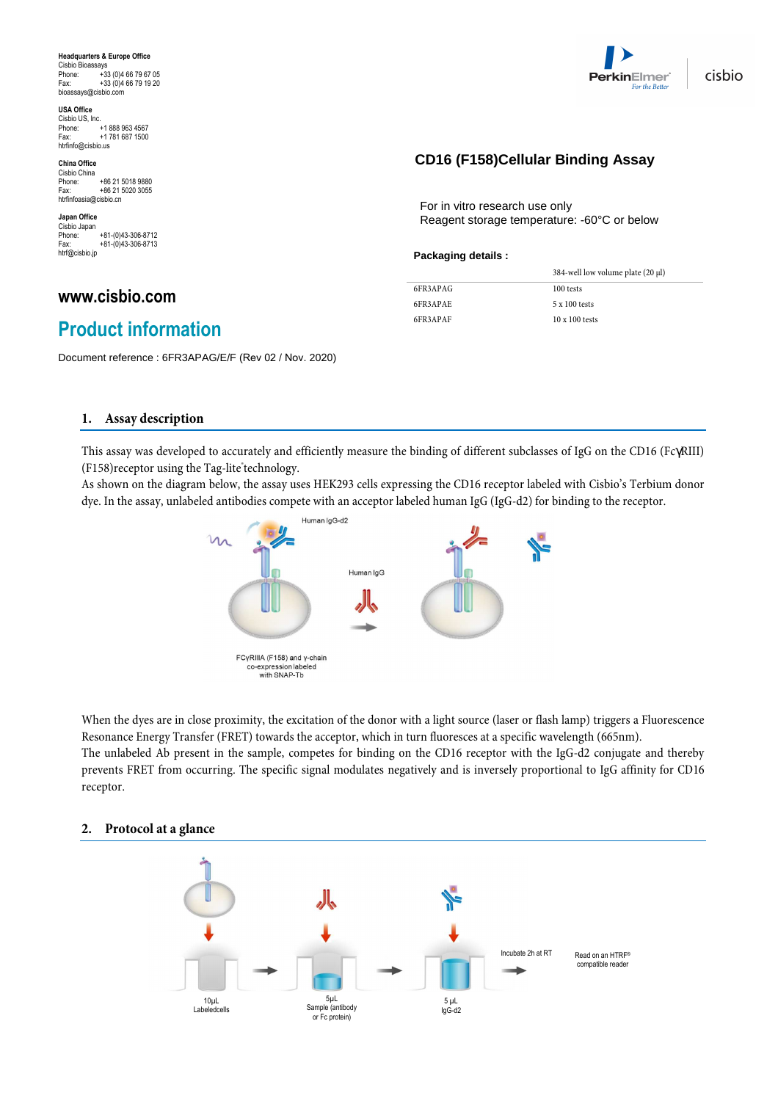**Headquarters & Europe Office** Cisbio Bioassays Phone: +33 (0)4 66 79 67 05 Fax: +33 (0)4 66 79 19 20 bioassays@cisbio.com

**USA Office** Cisbio US, Inc. Phone: +1 888 963 4567<br>Fax: +1 781 687 1500 +1 781 687 1500 htrfinfo@cisbio.us

**China Office**  Cisbio China<br>Phone: +86 21 5018 9880<br>+86 21 5020 3055 Fax: +86 21 5020 3055 htrfinfoasia@cisbio.cn

**Japan Office**  Cisbio Japan<br>Phone: Phone: +81-(0)43-306-8712<br>Eax: +81-(0)43-306-8713 Fax: +81-(0)43-306-8713 htrf@cisbio.jp

### **www.cisbio.com**

## **Product information**

Document reference : 6FR3APAG/E/F (Rev 02 / Nov. 2020)

#### **1. Assay description**

This assay was developed to accurately and efficiently measure the binding of different subclasses of IgG on the CD16 (FcγRIII) (F158) receptor using the Tag-lite technology.

As shown on the diagram below, the assay uses HEK293 cells expressing the CD16 receptor labeled with Cisbio's Terbium donor dye. In the assay, unlabeled antibodies compete with an acceptor labeled human IgG (IgG-d2) for binding to the receptor.



When the dyes are in close proximity, the excitation of the donor with a light source (laser or flash lamp) triggers a Fluorescence Resonance Energy Transfer (FRET) towards the acceptor, which in turn fluoresces at a specific wavelength (665nm). The unlabeled Ab present in the sample, competes for binding on the CD16 receptor with the IgG-d2 conjugate and thereby prevents FRET from occurring. The specific signal modulates negatively and is inversely proportional to IgG affinity for CD16 receptor.

# Incubate 2h at RT 5µL Sample (antibody or Fc protein) 10µL Labeledcells 5 µL IgG-d2 Read on an HTRF® compatible reader

#### **2. Protocol at a glance**



## **CD64 (Fc**γ**RI) Cellular Binding Assay CD16 (F158)Cellular Binding Assay**

For in vitro research use only Reagent storage temperature: -60°C or below

#### **Packaging details :**

|          | 384-well low volume plate (20 µl) |
|----------|-----------------------------------|
| 6FR3APAG | 100 tests                         |
| 6FR3APAE | $5 \times 100$ tests              |
| 6FR3APAF | $10 \times 100$ tests             |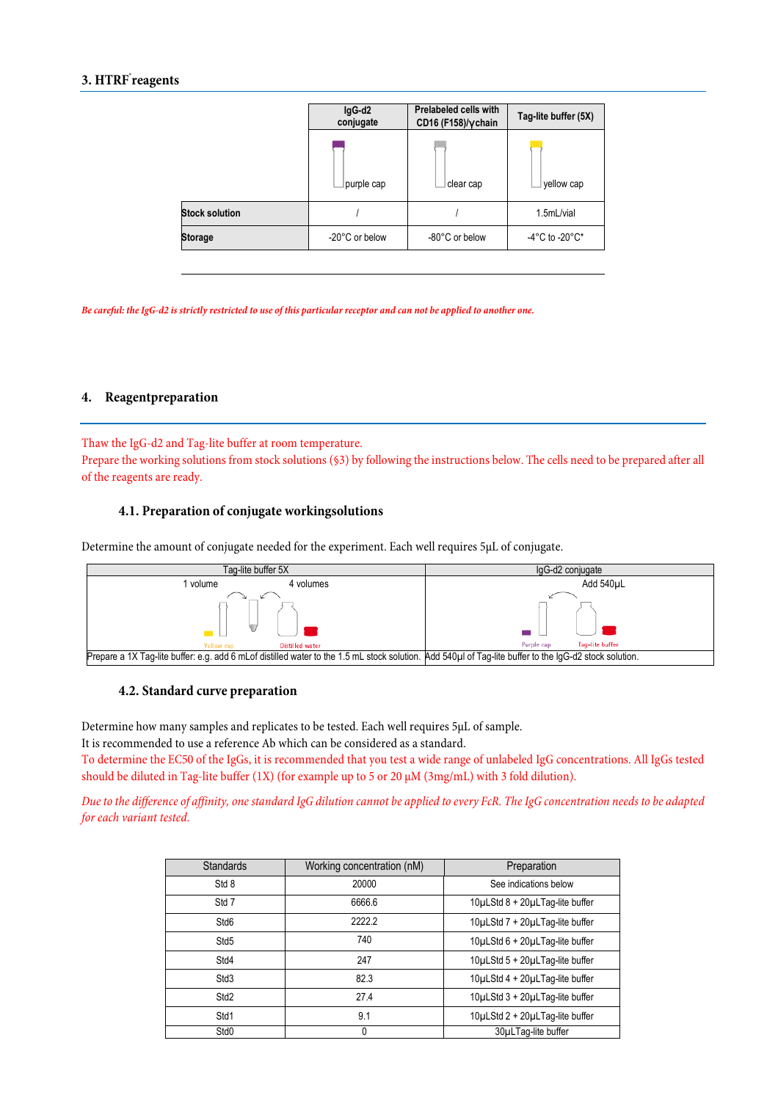#### **3. HTRF® reagents**

|                       | IgG-d2<br>conjugate | Prelabeled cells with<br>CD16 (F158)/y chain | Tag-lite buffer (5X)               |  |
|-----------------------|---------------------|----------------------------------------------|------------------------------------|--|
|                       | purple cap          | clear cap                                    | yellow cap                         |  |
| <b>Stock solution</b> |                     |                                              | 1.5mL/vial                         |  |
| <b>Storage</b>        | -20°C or below      | -80°C or below                               | $-4^{\circ}$ C to $-20^{\circ}$ C* |  |

*Be careful: the IgG-d2 is strictly restricted to use of this particular receptor and can not be applied to another one.* 

#### **4. Reagentpreparation**

Thaw the IgG-d2 and Tag-lite buffer at room temperature. Prepare the working solutions from stock solutions (§3) by following the instructions below. The cells need to be prepared after all of the reagents are ready.

#### **4.1. Preparation of conjugate workingsolutions**

Determine the amount of conjugate needed for the experiment. Each well requires 5µL of conjugate.



#### **4.2. Standard curve preparation**

Determine how many samples and replicates to be tested. Each well requires 5µL of sample.

It is recommended to use a reference Ab which can be considered as a standard.

To determine the EC50 of the IgGs, it is recommended that you test a wide range of unlabeled IgG concentrations. All IgGs tested should be diluted in Tag-lite buffer (1X) (for example up to 5 or 20  $\mu$ M (3mg/mL) with 3 fold dilution).

Due to the difference of affinity, one standard IgG dilution cannot be applied to every FcR. The IgG concentration needs to be adapted for each variant tested.

| <b>Standards</b> | Working concentration (nM) | Preparation                     |
|------------------|----------------------------|---------------------------------|
| Std 8            | 20000                      | See indications below           |
| Std 7            | 6666.6                     | 10µLStd 8 + 20µLTag-lite buffer |
| Std <sub>6</sub> | 22222                      | 10µLStd 7 + 20µLTag-lite buffer |
| Std <sub>5</sub> | 740                        | 10µLStd 6 + 20µLTag-lite buffer |
| Std4             | 247                        | 10µLStd 5 + 20µLTag-lite buffer |
| Std <sub>3</sub> | 82.3                       | 10µLStd 4 + 20µLTag-lite buffer |
| Std <sub>2</sub> | 27.4                       | 10µLStd 3 + 20µLTag-lite buffer |
| Std1             | 9.1                        | 10µLStd 2 + 20µLTag-lite buffer |
| Std0             | $\Omega$                   | 30µLTaq-lite buffer             |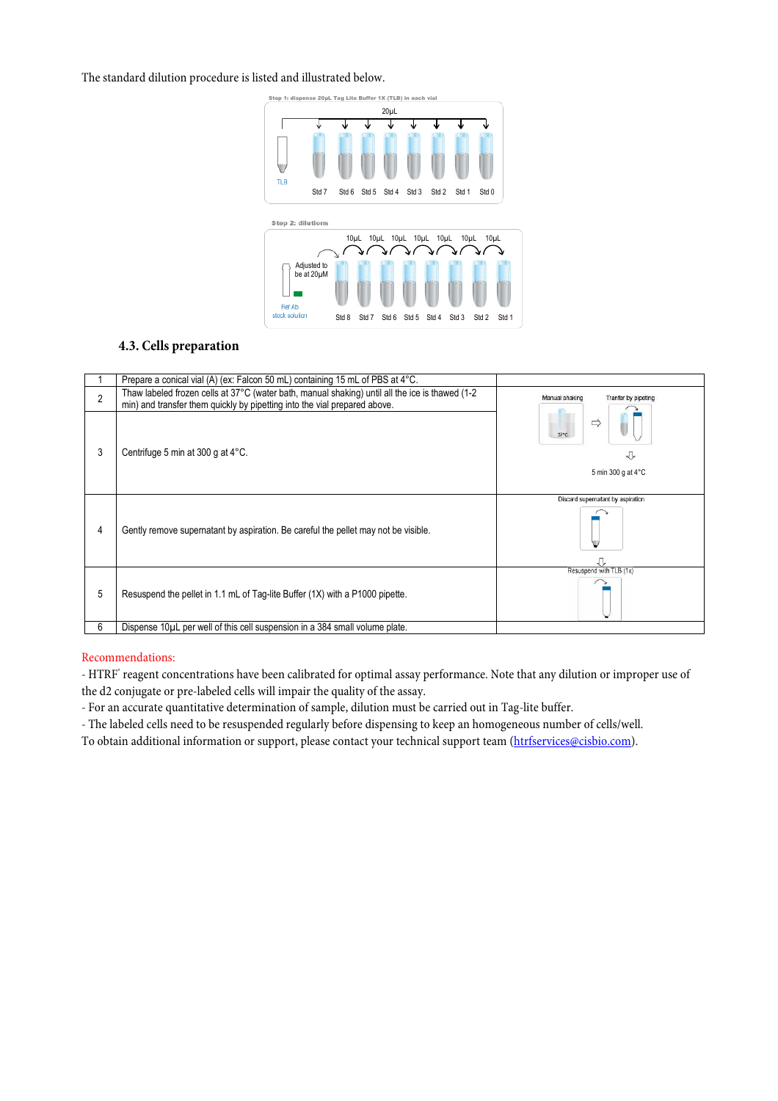The standard dilution procedure is listed and illustrated below.



#### **4.3. Cells preparation**

|                | Prepare a conical vial (A) (ex: Falcon 50 mL) containing 15 mL of PBS at 4°C.                                                                                                                                         |                                                             |  |
|----------------|-----------------------------------------------------------------------------------------------------------------------------------------------------------------------------------------------------------------------|-------------------------------------------------------------|--|
| $\mathfrak{p}$ | Thaw labeled frozen cells at 37°C (water bath, manual shaking) until all the ice is thawed (1-2<br>Manual shaking<br>Tranfer by pipeting<br>min) and transfer them quickly by pipetting into the vial prepared above. |                                                             |  |
| 3              | Centrifuge 5 min at 300 g at 4°C.                                                                                                                                                                                     | $\Rightarrow$<br>$37^{\circ}$ C<br>ſ,<br>5 min 300 g at 4°C |  |
| 4              | Gently remove supernatant by aspiration. Be careful the pellet may not be visible.                                                                                                                                    | Discard supernatant by aspiration                           |  |
| 5              | Resuspend the pellet in 1.1 mL of Tag-lite Buffer (1X) with a P1000 pipette.                                                                                                                                          | Resuspend with TLB (1x)                                     |  |
| 6              | Dispense 10µL per well of this cell suspension in a 384 small volume plate.                                                                                                                                           |                                                             |  |

#### Recommendations:

- HTRF® reagent concentrations have been calibrated for optimal assay performance. Note that any dilution or improper use of the d2 conjugate or pre-labeled cells will impair the quality of the assay.

- For an accurate quantitative determination of sample, dilution must be carried out in Tag-lite buffer.

- The labeled cells need to be resuspended regularly before dispensing to keep an homogeneous number of cells/well.

To obtain additional information or support, please contact your technical support team (htrfservices@cisbio.com).